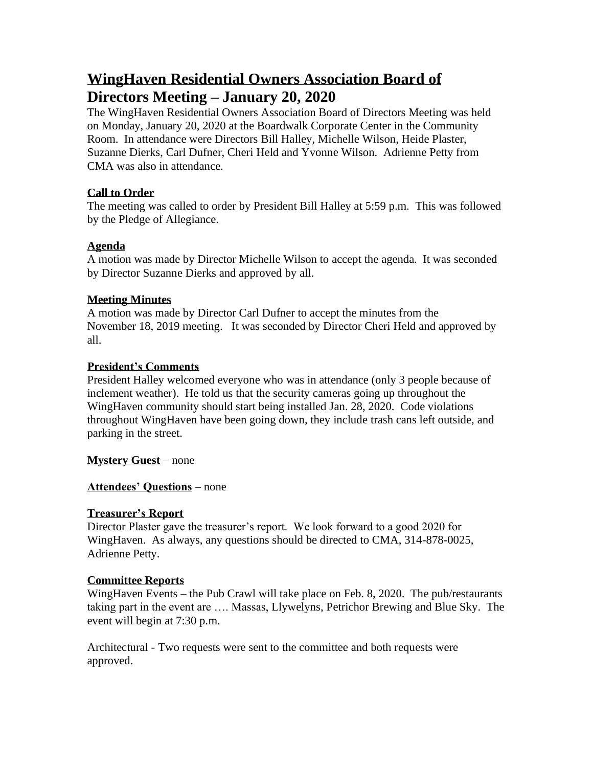# **WingHaven Residential Owners Association Board of Directors Meeting – January 20, 2020**

The WingHaven Residential Owners Association Board of Directors Meeting was held on Monday, January 20, 2020 at the Boardwalk Corporate Center in the Community Room. In attendance were Directors Bill Halley, Michelle Wilson, Heide Plaster, Suzanne Dierks, Carl Dufner, Cheri Held and Yvonne Wilson. Adrienne Petty from CMA was also in attendance.

## **Call to Order**

The meeting was called to order by President Bill Halley at 5:59 p.m. This was followed by the Pledge of Allegiance.

# **Agenda**

A motion was made by Director Michelle Wilson to accept the agenda. It was seconded by Director Suzanne Dierks and approved by all.

## **Meeting Minutes**

A motion was made by Director Carl Dufner to accept the minutes from the November 18, 2019 meeting. It was seconded by Director Cheri Held and approved by all.

## **President's Comments**

President Halley welcomed everyone who was in attendance (only 3 people because of inclement weather). He told us that the security cameras going up throughout the WingHaven community should start being installed Jan. 28, 2020. Code violations throughout WingHaven have been going down, they include trash cans left outside, and parking in the street.

**Mystery Guest** – none

# **Attendees' Questions** – none

### **Treasurer's Report**

Director Plaster gave the treasurer's report. We look forward to a good 2020 for WingHaven. As always, any questions should be directed to CMA, 314-878-0025, Adrienne Petty.

# **Committee Reports**

WingHaven Events – the Pub Crawl will take place on Feb. 8, 2020. The pub/restaurants taking part in the event are …. Massas, Llywelyns, Petrichor Brewing and Blue Sky. The event will begin at 7:30 p.m.

Architectural - Two requests were sent to the committee and both requests were approved.